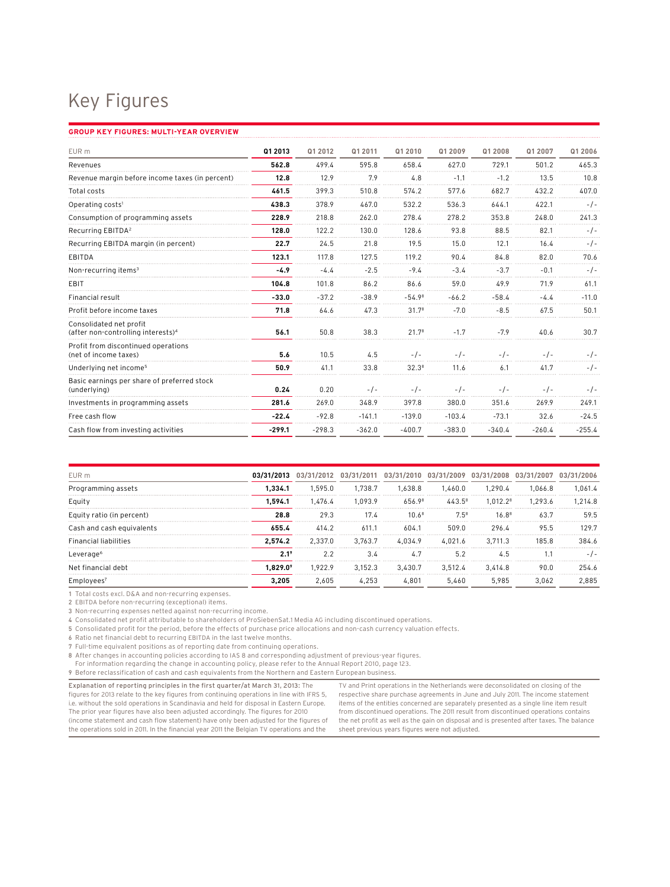## Key Figures

## **Group Key Figures: Multi-Year Overview**

| EUR m                                                                     | Q1 2013  | Q1 2012  | Q1 2011  | Q1 2010           | Q1 2009  | Q1 2008  | Q1 2007  | Q1 2006  |
|---------------------------------------------------------------------------|----------|----------|----------|-------------------|----------|----------|----------|----------|
| Revenues                                                                  | 562.8    | 499.4    | 595.8    | 658.4             | 627.0    | 729.1    | 501.2    | 465.3    |
| Revenue margin before income taxes (in percent)                           | 12.8     | 12.9     | 7.9      | 4.8               | $-1.1$   | $-1.2$   | 13.5     | 10.8     |
| Total costs                                                               | 461.5    | 399.3    | 510.8    | 574.2             | 577.6    | 682.7    | 432.2    | 407.0    |
| Operating costs <sup>1</sup>                                              | 438.3    | 378.9    | 467.0    | 532.2             | 536.3    | 644.1    | 422.1    | $-1-$    |
| Consumption of programming assets                                         | 228.9    | 218.8    | 262.0    | 278.4             | 278.2    | 353.8    | 248.0    | 241.3    |
| Recurring EBITDA <sup>2</sup>                                             | 128.0    | 122.2    | 130.0    | 128.6             | 93.8     | 88.5     | 82.1     | -1-      |
| Recurring EBITDA margin (in percent)                                      | 22.7     | 24.5     | 21.8     | 19.5              | 15.0     | 12.1     | 16.4     | $-1-$    |
| EBITDA                                                                    | 123.1    | 117.8    | 127.5    | 119.2             | 90.4     | 84.8     | 82.0     | 70.6     |
| Non-recurring items <sup>3</sup>                                          | $-4.9$   | $-4.4$   | $-2.5$   | $-9.4$            | $-3.4$   | $-3.7$   | $-0.1$   | $-/-$    |
| EBIT                                                                      | 104.8    | 101.8    | 86.2     | 86.6              | 59.0     | 49.9     | 71.9     | 61.1     |
| <b>Financial result</b>                                                   | $-33.0$  | $-37.2$  | $-38.9$  | $-54.98$          | $-66.2$  | $-58.4$  | $-4.4$   | $-11.0$  |
| Profit before income taxes                                                | 71.8     | 64.6     | 47.3     | 31.7 <sup>8</sup> | $-7.0$   | $-8.5$   | 67.5     | 50.1     |
| Consolidated net profit<br>(after non-controlling interests) <sup>4</sup> | 56.1     | 50.8     | 38.3     | 21.7 <sup>8</sup> | $-1.7$   | $-7.9$   | 40.6     | 30.7     |
| Profit from discontinued operations<br>(net of income taxes)              | 5.6      | 10.5     | 4.5      | $-$ / $-$         | $-1-$    | $-1-$    | $-1-$    | $-1-$    |
| Underlying net income <sup>5</sup>                                        | 50.9     | 41.1     | 33.8     | $32.3^{8}$        | 11.6     | 6.1      | 41.7     | -/-      |
| Basic earnings per share of preferred stock<br>(underlying)               | 0.24     | 0.20     | $-1-$    | $-1-$             | -7-      | $-1-$    | - / -    | $-1-$    |
| Investments in programming assets                                         | 281.6    | 269.0    | 348.9    | 397.8             | 380.0    | 351.6    | 269.9    | 249.1    |
| Free cash flow                                                            | $-22.4$  | $-92.8$  | $-141.1$ | $-139.0$          | $-103.4$ | $-73.1$  | 32.6     | $-24.5$  |
| Cash flow from investing activities                                       | $-299.1$ | $-298.3$ | $-362.0$ | $-400.7$          | $-383.0$ | $-340.4$ | $-260.4$ | $-255.4$ |

| EUR m                        |                  |         |         | 03/31/2013 03/31/2012 03/31/2011 03/31/2010 03/31/2009 03/31/2008 03/31/2007 03/31/2006 |           |                      |         |         |
|------------------------------|------------------|---------|---------|-----------------------------------------------------------------------------------------|-----------|----------------------|---------|---------|
| Programming assets           | .334.1           | 1.595.0 | 1.738.7 | 1.638.8                                                                                 | 1.460.0   | 1.290.4              | 1.066.8 | 1.061.4 |
| Equity                       | 1.594.1          | 1.476.4 | 1.093.9 | 656.98                                                                                  | $443.5^8$ | 1.012.2 <sup>8</sup> | 1.293.6 | 1.214.8 |
| Equity ratio (in percent)    | 28.8             | 29.3    | 17.4    | 10 $A^8$                                                                                | $7.5^8$   | $16.8^8$             | 637     | 59.5    |
| Cash and cash equivalents    | 655.4            | 414.2   | 611.1   | 6041                                                                                    | 509.0     | 296.4                | 95.5    | 129 7   |
| <b>Financial liabilities</b> | 2.574.2          | 2.337.0 | 3.763.7 | 4.034.9                                                                                 | 4.021.6   | 3.711.3              | 185.8   | 3846    |
| Leverage <sup>6</sup>        |                  | 22      |         | 4.7                                                                                     | 5.2       | 4.5                  | 11      |         |
| Net financial debt           | $.829.0^{\circ}$ | 1.922.9 | 3.152.3 | 3.430.7                                                                                 | 3.512.4   | 3.414.8              | 90.0    | 254.6   |
| Emplovees <sup>1</sup>       | 3.205            | 2.605   | 4.253   | 4.801                                                                                   | 5.460     | 5.985                | 3.062   | 2.885   |

1 Total costs excl. D&A and non-recurring expenses.

2 EBITDA before non-recurring (exceptional) items.

3 Non-recurring expenses netted against non-recurring income.

4 Consolidated net profit attributable to shareholders of ProSiebenSat.1 Media AG including discontinued operations.

5 Consolidated profit for the period, before the effects of purchase price allocations and non-cash currency valuation effects.

6 Ratio net financial debt to recurring EBITDA in the last twelve months.

7 Full-time equivalent positions as of reporting date from continuing operations.

8 After changes in accounting policies according to IAS 8 and corresponding adjustment of previous-year figures.

For information regarding the change in accounting policy, please refer to the Annual Report 2010, page 123.

9 Before reclassification of cash and cash equivalents from the Northern and Eastern European business.

Explanation of reporting principles in the first quarter/at March 31, 2013: The figures for 2013 relate to the key figures from continuing operations in line with IFRS 5, i.e. without the sold operations in Scandinavia and held for disposal in Eastern Europe. The prior year figures have also been adjusted accordingly. The figures for 2010 (income statement and cash flow statement) have only been adjusted for the figures of the operations sold in 2011. In the financial year 2011 the Belgian TV operations and the

TV and Print operations in the Netherlands were deconsolidated on closing of the respective share purchase agreements in June and July 2011. The income statement items of the entities concerned are separately presented as a single line item result from discontinued operations. The 2011 result from discontinued operations contains the net profit as well as the gain on disposal and is presented after taxes. The balance sheet previous years figures were not adjusted.